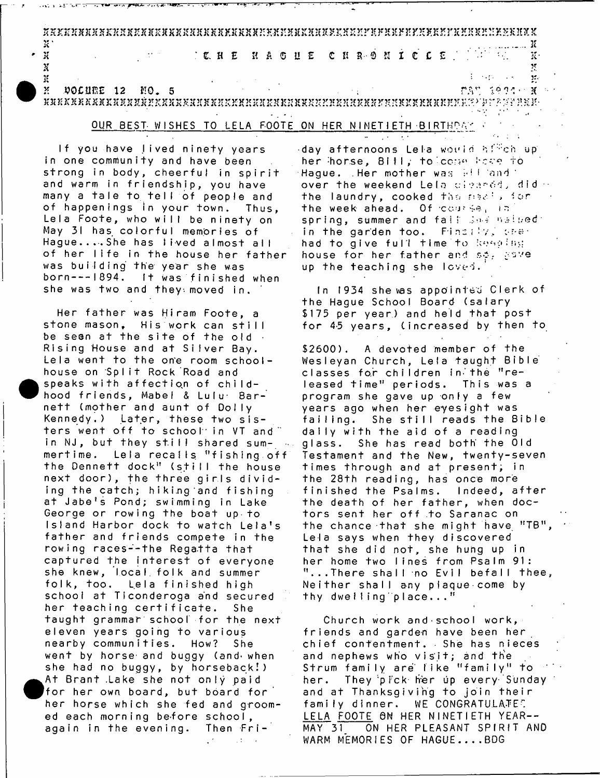3 f S K r 2 c 3 C 3 U C J f O X X J e X f f S X O X X 3 C K K K K l f K 3 e K ? : K - X S f: S 3 C 3 C 3 t 2 n t y . K K X 2 ; r 3 t ? r U 2 } ' J ? 3 fJ ; y . r ^ r X X 2 5 S 2 ' : : H 2 ? X 2 t K S 3 T **n**  $\alpha$  *n*  $\alpha$  *n*  $\alpha$  *n*  $\alpha$  *n*  $\alpha$  *n*  $\alpha$  *n*  $\alpha$  *n*  $\alpha$  *n*  $\alpha$  *n*  $\alpha$  *n*  $\alpha$  *n*  $\alpha$  *n*  $\alpha$  *n*  $\alpha$  *n*  $\alpha$  *n*  $\alpha$  *n*  $\alpha$  *n*  $\alpha$  *n*  $\alpha$  *n*  $\alpha$  *n*  $\alpha$  *n*  $\alpha$  *n*  $\alpha$  *n*  $\alpha$  *n* ' X : e . H E H C H C ! I S- 0 S i C C £ : .' *IV* K *\** **if** a second the second term of the second term of the second term of the second term  $\mathcal{B}$  $A$  »  $A$   $B$   $C$   $A$   $B$   $C$   $A$   $B$   $C$   $A$   $A$   $A$   $A$   $B$   $C$   $A$   $A$   $A$   $B$   $C$   $C$   $A$   $A$   $B$   $C$   $C$   $A$   $A$   $B$   $C$   $C$   $A$   $B$   $C$   $C$   $A$   $B$   $C$   $C$   $C$   $A$   $C$   $D$   $C$   $C$   $D$   $C$   $D$   $C$   $D$   $C$   $D$   $C$   $D$ 

w K3EKKSKSSKK3C35SX3(7?KXSXKSXSKn2^K2E24K2£KSrvKS?J2ir.HJ£?IK3tXJ(r?n£KJCK3!XK3Er.r.K:')'jT?'.p-'[i, ;!BU'-

#### $\sigma_{\rm{eff}}$  ,  $\sigma_{\rm{eff}}$ OUR BEST WISHES TO LELA FOOTE ON HER NINETIETH BIRTHOAY •'

If you have lived ninety years in one community and have been strong in body, cheerful in spirit and warm in friendship, you have many a tale to tell of people and of happenings in your town. Thus, Lela Foote, who will be ninety on May 31 has colorful memories of Hague....She has lived almost all of her life in the house her father was building the year she was born --- 1894. It was finished when she was two and they moved in.

Her father was Hiram Foote, a stone mason, His work can still be seen at the site of the old. Rising House and at Siiver Bay. Lela went to the one room schoolhouse on Split Rock Road and speaks with affection of childhood friends, Mabel & Lulu Barnett (mother and aunt of Dolly Kennedy.) Later, these two sisters went off to school in VT and in NJ, but they still shared summertime. Lela recalls "fishing off the Dennett dock" (still the house next door), the three girls dividing the catch; hiking and fishing at Jabe's Pond; swimming in Lake George or rowing the boat up to Island Harbor dock to watch Lela's father and friends compete in the rowing races--the Regatta that captured the interest of everyone she knew, local folk and summer fo lk, too. Lela finished high school at Ticonderoga and secured her teaching certificate. She taught grammar school for the next e leven years going to various nearby communities. How? She went by horse- and buggy (and- when she had no buggy, by horseback!) At Brant .Lake she not only paid for her own board, but board for  $\overline{\phantom{a}}$ her horse which she fed and groom ed each morning be-fore school, again in the evening. Then Fri-

 $\sim 10^{-10}$   $\sim$ 

day afternoons Lela would birch up her horse, Bitl, to come hore fo Hague. Her mother was  $\mathbb{H}^+$  and over the weekend Lela cieardd, did the laundry, cooked the ma $\varepsilon^{\pm}$ , for the week ahead. Of course, in  $\mathsf{spring}$ , summer and fall  $\mathbb{I}\circ\mathbb{I}\circ\mathbb{I}\circ\mathbb{I}\circ\mathbb{I}$ in the garden too. Finally, cher had to give full time to keeping house for her father and se, gave up the teaching she loved.

 $\mathbf{w} = \mathbf{w} \mathbf{w}$  , where  $\mathbf{w}$ 

In 1934 she was appointed Clerk of the Hague School Board (salary \$175 per year) and held that post for 45 years, (increased by then to

 $$2600$ ). A devoted member of the Wesleyan Church, Lela taught Bible classes for children in the "released time" periods. This was a program she gave up only a few years ago when her eyesight was failing. She still reads the Bible daily with the aid of a reading glass. She has read both the Old Testament and the New, twenty-seven times through and at present; in the 28th reading, has once more finished the Psalms. Indeed, after the death of her father, when doctors sent her off to Saranac on the chance-that she might have "TB" Lela says when they discovered that she did not, she hung up in her home two lines from Psalm 91:  $" \ldots$  There shall no Evil befall thee, Neither shall any plaque come by thy dwelling place..."

Church work and school work, friends and garden have been her chief contentment. She has nieces and nephews who visit; and the Strum family are like "family" to her. They pick her up every Sunday and at Thanksgiving to join their family dinner. WE CONGRATULATE? LELA FOOTE ON HER NINETIETH YEAR-- MAY 31 ON HER PLEASANT SPIRIT AND WARM MEMORIES OF HAGUE....BDG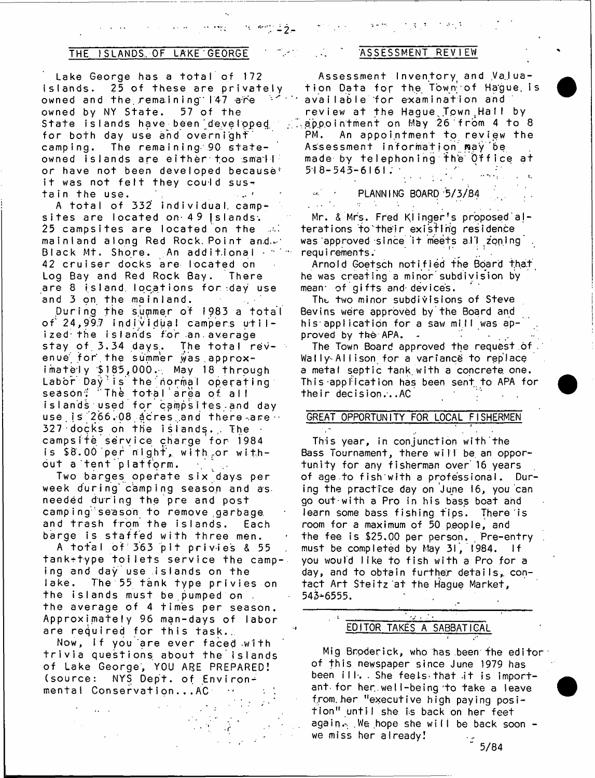### THE ISLANDS OF LAKE GEORGE THE ASSESSMENT REVIEW

 $\mathbf{r} \leftarrow \mathbf{r} \leftarrow \mathbf{r}$ 

in Lake George has a total of 172 . Assessment Inventory and Valua- .<br>Islands. 25 of these are privately . tion Data for the Town of Hague I owned and the remaining  $147$  are  $\sim$  available for examination and owned by NY State. 57 of the State islands have been developed for both day use and overnight camping. The remaining 90 stateowned islands are either too small or have not been developed because<sup>s</sup> it was not felt they could sustain the use.

A total of 332 individual, campsites are located on 49 islands. 25 campsites are located on the المناب mainland along Red Rock. Point and. $\varnothing$ Black Mt. Shore. An additional • \* \* are changed in the controller that the control of Log Bay and Red Rock Bay. There are 8 island, locations for day use and 3 on the mainland.

During the summer of 1983 a total of 24,997 individual campers utilized the islands for an. average stay of  $3.34$  days. The total revenue for the summer was approx $i$  mately  $$185,000.$  May 18 through Labor Day is the normal operating season; 'The total area of all islands used for campsites and day use  $1s/266.08$  acres and there are  $\cdot$ 327 docks on the islands. The campsite service charge for 1984 is **\$**8 **.** 0 0 ' p e r n i g h t , w i t h ..or w ithout a tent platform.

Two barges operate six days per week during camping season and as needed during the pre and post camping season to remove garbage and trash from the islands. Each barge is staffed with three men.

A total of 363 pit privies & 55 tank+type toilets service the camping and day use islands on the lake. The 55 tank type privies on the islands must be pumped on. the average of 4 times per season. Approximately 96 man-days of labor are required for this task..

Now, if you are ever faced with tr iv ia questions about the islands of Lake George, YOU ARE PREPARED! (source: NYS Dept. of Environmental Conservation...AC

医腹膜炎 计特别类

ily the Data for the Town of Hague is<br>An in available for examination and review at the Haque Town Ha! by appointment on May 26 from 4 to 8 PM. An appointment to review the Assessment information may be made by telephoning the Office at  $518 - 543 - 6161$  ;

> Mr. & Mrs. Fred Klinger's proposed alterations to their existing residence was approved since it meets all zoning. requirements:

- ' PLANNING BOARD 5/3/84

Arnold Goetsch notified the Board that-, he was creating a minor subdivision by mean of gifts and devices.

The two minor subdivisions of Steve Bevins were approved by the Board and his application for a saw mill was approved by the APA. .  $\sim$ 

The Town Board approved the request of Wally-Allison for a variance to replace a metal septic tank with a concrete one. This application has been sent to APA for their decision...AC

# GREAT OPPORTUNITY FOR LOCAL FISHERMEN

This year, in conjunction with the Bass Tournament, there will be an opportunity for any fisherman over 16 years of age to fish with a professional. During the practice day on June 16, you can go out with a Pro in his bass boat and learn some bass fishing tips. There is room for a maximum of 50 people, and the fee is \$25.00 per person. Pre-entry must be completed by May 31, 1984. If you would like to fish with a Pro for a day, and to obtain further details, contact Art Steitz at the Hague Market, 543-6555.

# $\overline{\mathcal{F}_{\mathcal{Q}}(x)}$ EDITOR TAKES A SABBATICAL

Mig Broderick, who has been the editor  $\cdot$ of this newspaper since June 1979 has been ill. She feels that it is important for her well-being to take a leave from. her "executive high paying position" until she is back on her feet again. We hope she will be back soon we miss her already!

' 5/84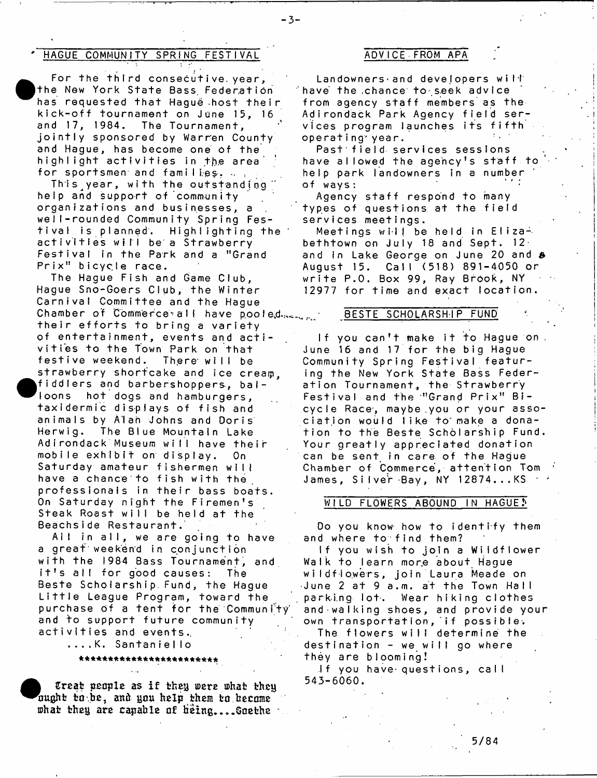## HAGUE COMMUNITY SPRING FESTIVAL **ADVICE FROM APA**

 $\bullet_{\scriptscriptstyle{\mathsf{h}}}^{\scriptscriptstyle{\mathsf{t}}}$ For the third consecutive year, the New York State Bass Federation has requested that Haque host their kick-off tournament on June 15, 16<br>and 17, 1984. The Tournament. The Tournament. jointly sponsored by Warren County and Hague, has become one of the highlight activities in the area for sportsmen and families,  $\ldots$ .

This year, with the outstanding help and support of community organizations and businesses, a well-rounded Community Spring Festival is planned. Highlighting the activities will be a Strawberry Festival in the Park and a "Grand Prix" bicycle race.

The Hague Fish and Game Club, Hague Sno-Goers Club, the Winter Carnival Committee and the Hague Chamber of Commerce all have pooled. their efforts to bring a variety of entertainment, events and activities to the Town Park on that festive weekend. There will be strawberry shortcake and ice cream.  $\begin{array}{c} \bullet \\ \bullet \\ + \\ + \\ \bullet \end{array}$ fiddlers and barbershoppers, balloons hot dogs and hamburgers, taxidermic displays of fish and animals by Alan Johns and Doris Herwig. The Blue Mountain Lake Adirondack Museum will have their mobile exhibit on display. On Saturday amateur fishermen will have a chance to fish with the professionals in their bass boats. On Saturday night the Firemen's Steak Roast will be held at the Beachside Restaurant.

All in all, we are going to have a great weekend in conjunction w ith the 1984 Bass Tournament, and it's all for good causes: The Beste Scholarship Fund, the Hague Little League Program, toward the purchase of a tent for the Community and to support future community activities and events.

. . . . K. S a n t a n i e I I o

\* \* \*\* \* \* \* \*\* \* \* \* \*\* \* \* \* \*\* \* \* \* \*\*

**e**<br>*o<sup>1</sup></sup><br><i>b*<br>*b Creat people as if they were what they* ought to be, and you help them to become what they are capable of being....Goethe  $\cdot$ 

Landowners and developers will have the .chance to-seek advice from agency staff members as the Adirondack Park Agency field services program launches its fifth operating year.

Past field services sessions have allowed the agency's staff to help park landowners in a number of wavs:

Agency staff respond to many types of questions at the field services meetings.

Meetings will be held in Elizabeth town on July 18 and Sept.  $12<sup>+</sup>$ and in Lake George on June 20 and *&* August 15. Call (518) 891-4050 or write P.O. Box 99, Ray Brook, NY 12977 for time and exact location.

#### BESTE SCHOLARSHIP FUND

If you can't make it to Hague on . June 16 and 17 for the big Hague Community Spring Festival featuring the New York State Bass Federation Tournament, the Strawberry Festival and the "Grand Prix" Bicycle Race, maybe you or your association would like to make a donation to the Beste Scholarship Fund. Your greatly appreciated donation can be sent in care of the Hague Chamber of Commerce, attention Tom James, Silver Bay, NY 12874...KS

#### WILD FLOWERS ABOUND IN HAGUE!

Do you know how to identify them and where to find them?

If you wish to join a Wildflower Walk to learn more about Hague wildflowers, join Laura Meade on June 2 at 9 a.m. at the Town Hall parking lot. Wear hiking clothes and-walking shoes, and provide your own transportation, if possible. The flowers will determine the destination - we will go where they are blooming!

If you have questions, call 545-6060.

-3-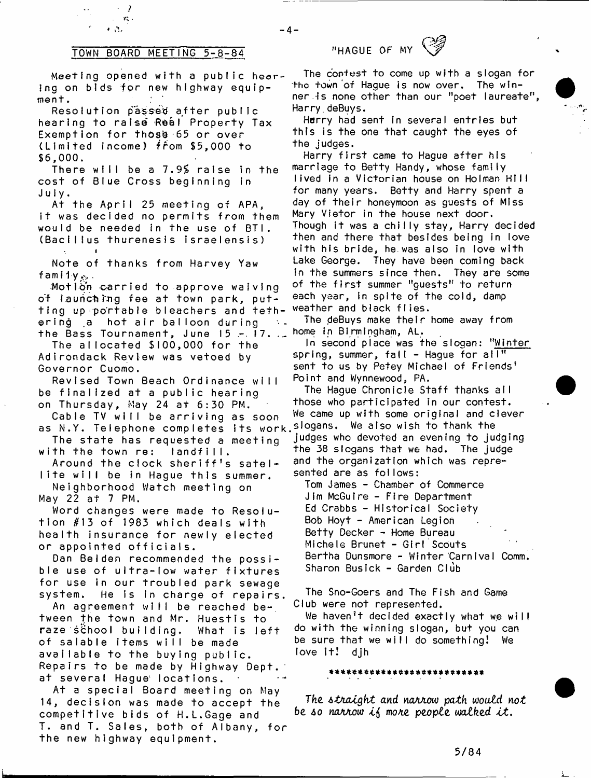# TOWN BOARD MEETING 5-8-84 "HAGUE OF MY

2  $\mathbf{r}^*_{\mathbf{q}}$  .  $\bullet$  ,  $\mathcal{H}_1$ 

Meeting opened with a public hearing on bids for new highway equipment.

Resolution passed after public hearing to raise Real Property Tax Exemption for those  $65$  or over (Lim ited income) fFom \$5,000 to **\$6,000.**

There will be a *1.9%* raise in the cost of Blue Cross beginning in July.

At the April 25 meeting of APA, it was decided no permits from them would be needed in the use of BTI. (Bacillus thurenesls israelensis)

Note of thanks from Harvey Yaw f am i 1 y *p. .*

i

Motion carried to approve wafving of launching fee at town park, putting up portable bleachers and teth- weather and black flies ering a hot air balloon during the Bass Tournament, June 15 - 17. . home in Birmingham, AL.

The allocated \$100,000 for the Adirondack Review was vetoed by Governor Cuomo.

Revised Town Beach Ordinance will be finalized at a public hearing on Thursday, May 24 at  $6:30$  PM.

Cable TV will be arriving as soon as N.Y. Telephone completes its work.<sup>slogans.</sup> We also wish to thank the

The state has requested a meeting with the town re: landfill.

Around the clock sheriff's satellite will be in Hague this summer.

Neighborhood Watch meeting on May 22 at 7 PM.

Word changes were made to Resolution #13 of 1983 which deals with health insurance for newly elected or appointed officials.

Dan Belden recommended the possible use of ultra-low water fixtures for use in our troubled park sewage system. He is in charge of repairs.

An agreement will be reached be-, tween the town and Mr. Huestis to raze school building. What is left of salable items will be made available to the buying public. Repairs to be made by Highway Dept. at several Hague; locations.

At a special Board meeting on May 14, decision was made to accept the competitive bids of H.L.Gage and T. and T. Sales, both of Albany, for the new highway equipment.

 $-4-$ 



Harry had sent in several entries but this is the one that caught the eyes of the judges.

Harry first came to Hague after his marriage to Betty Handy, whose family lived in a Victorian house on Holman HIII for many years. Betty and Harry spent a day of their honeymoon as guests of Miss Mary Vietor in the house next door. Though it was a chilly stay, Harry decided then and there that besides being in love with his bride, he was also in love with Lake George. They have been coming back in the summers since then. They are some of the first summer "guests" to return each year, in spite of the cold, damp

The deBuys make their home away from

In second place was the slogan: "Winter spring, summer, fall - Hague for al $\overline{\mathbb{T}^n}$ sent to us by Petey Michael of Friends' Point and Wynnewood, PA.

The Hague Chronicle Staff thanks all those who participated in our contest. We came up with some original and clever judges who devoted an evening to judging the 38 slogans that we had. The judge and the organization which was represented are as follows:

Tom James - Chamber of Commerce Jim McGuire - Fire Department Ed Crabbs - Historical Society Bob Hoyt - American Legion Betty Decker - Home Bureau Michele Brunet - Girl Scouts Bertha Dunsmore - W inter CarnIval Comm. Sharon Busick - Garden Club

The Sno-Goers and The Fish and Game Club were not represented.

We haven't decided exactly what we will do wi th the winning slogan, but you can be sure that we will do something! We love It! djh

#### \*\*\*\*\*\*\*\*\*\*\*\*\*\*\*\*\*\*\*\*\*\*\*\*\*\*

*The A tn a lg h t and na/iAovo path would n o t be so narrow if more people walked it.*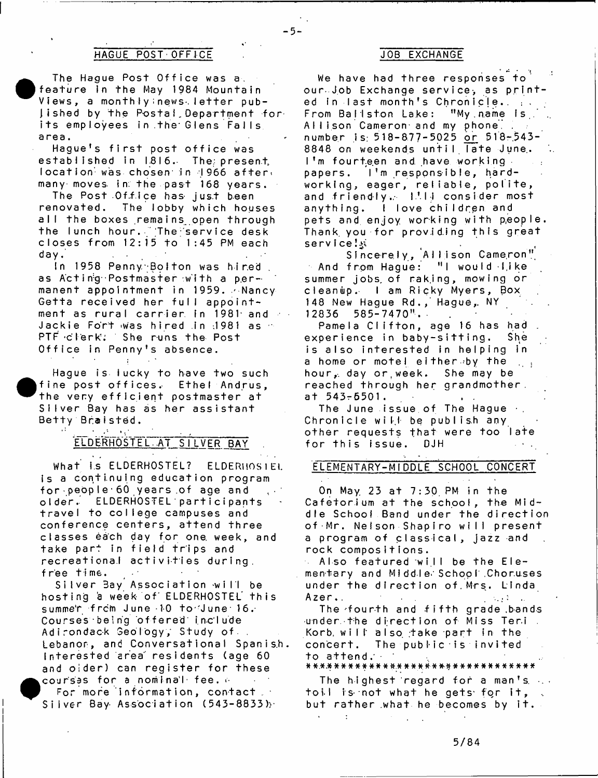# HAGUE POST OFFICE

**•** The Hague Post Office was a. feature in the May 1984 Mountain Views, a monthiy news. letter published by the Postal Department for its employees in the Glens Falls area.

Hague's first post office was established in 1816. The present, location was chosen in 1966 after. many moves, in. the past  $168$  years.

The Post Of fice has just been renovated. The lobby which houses all the boxes remains open through the lunch hour. The service desk closes from  $12:15$  to  $1:45$  PM each day.

In 1958 Penny. Bolton was hired as Acting Postmaster with a permanent appointment in 1959. Alancy Getta received her full appointment as rural carrier in 1981 and  $\sim$ Jackie Fort was hired in 1981 as PTF clerk. She runs the Post Office in Penny's absence.

Hague is lucky to have two such  $\bullet$ <sup>+</sup><br>s<br>B fine post offices. Ethel Andrus, the very efficient postmaster at Silver Bay has as her assistant Betty Braisted.

 $\sim 10$ 

# ELDERHOSTEL AT SILVER BAY

What is ELDERHOSTEL? ELDERHOSIEL is a continuing education program for people 60 years of age and older. ELDERHOSTEL participants travel to college campuses and conference centers, attend three classes each day for one week, and take part in field trips and recreational activities during, free time.

Silver Bay Association will be hosting a week of ELDERHOSTEL this summe'r frcm June 10 to June 16. Courses being offered include Adirondack Geology, Study of Lebanon, and Conversational Spanish. Interested area residents (age 60 and oider) can register for these courses for a nominal fee.  $\circ$ 

 $\bullet$ <sub>s</sub> For more information, contact  $\cdot$ Silver Bay-Association (543-8833) $\cdot$ 

### JOB EXCHANGE

- 5-

 $\mathbb{R}^4$  if  $\mathbb{R}^4$  if  $\mathbb{R}^4$ We have had three responses to our- Job Exchange service, as printed in last month's Chronicle. .. From Ballston Lake: "My name Is. Allison Cameron- and my phone, number is: 518-877-5025 or 518-543-8848 on weekends until Tate June. I'm fourteen and have working. papers. I'm responsible, hardworking, eager, reliable, polite, and friendly. Itll consider most anything. I love children and pets and enjoy working with people. Thank you for providing this great service! :

Sincerely, Allison Cameron" And from Hague: "I would -I,ike summer jobs of raking, mowing or cleanup. I am Ricky Myers, Box 148 New Haque Rd., Hague, NY 12836 585-7470". .

Pamela Clifton, age 16 has had experience in baby-sitting. She is also interested in helping in a home or motel either by the  $\sim 10$ hour, day or week. She may be reached through her grandmother, at 543-6501.  $\frac{1}{2}$  ,  $\frac{1}{2}$ 

The June issue of The Haque  $\cdot$ . Chronicle will be publish any other requests that were too late for this issue. DJH

# ELEMENTARY-MIDDLE SCHOOL CONCERT

On May 23 at 7:30 PM in the Cafetorium at the school, the Middle School Band under the direction of Mr. Nelson Shapiro will present a program of classical, jazz and rock compositions.

Also featured will be the Ele-÷. mentary and Middle School Choruses under the direction of.Mrs. Linda Azer..  $\sim 10^{-4}$  m  $^{-1}$ 

The -fou rth and fifth grade .bands under the direction of Miss Ter.i. Korb. will also take part in the concert. The public is invited to attend.<br>\*\*\*\*\*\*\*\*\*\*\*\*\*\*\*\*\*\*\*\*\*\*\*\*\*\*\*\*\*\*\*\*\*

The highest regard for a man's.  $\ldots$ toil is not what he gets for it, but rather what he becomes by it.

÷

5/84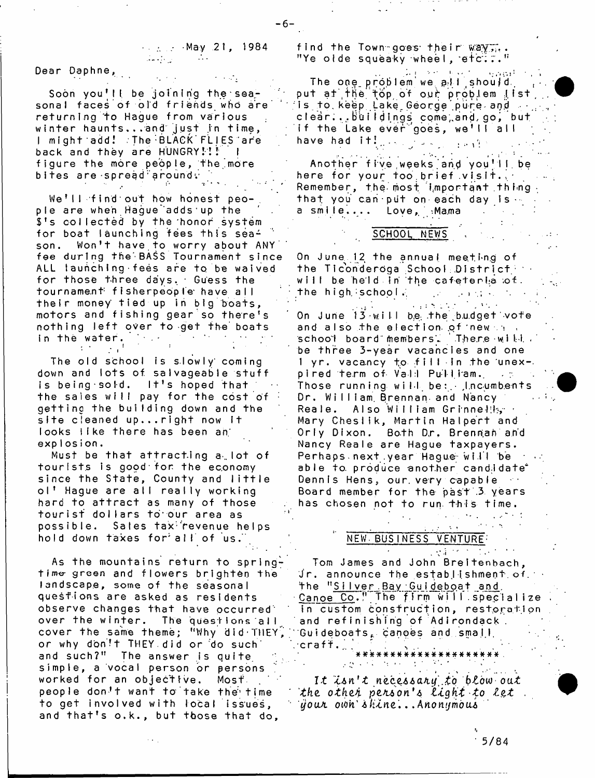■ ... ... -May .21 , 1984

-6-

Dear Daphne,

Soon you'll be joining the seasonal faces of old friends who are returning to Hague from various winter haunts...and just in time, I might add. The BLACK FLIES are back and they are HUNGRY!!! figure the more people, the more bites are spread around :

We'll find out how honest people are when Haque adds up the  $s$ 's collected by the honor system for boat launching fees th is season. Won't have to worry about ANY fee during the'BASS Tournament since ALL launching fees are to be waived for those three days. Guess the tournament fisherpeople have all their money tied up in big boats, motors and fishing gear so there's nothing left over to get the boats<br>in the water. in the water.  $\mathcal{L}$ 

The old school is slowly' coming down and lots of salvageable stuff is being sold.  $1<sup>†</sup>$ s hoped that the sales will pay for the cost of getting the building down and the site cleaned up...right now it looks like there has been an explosion.

 $\mathbf{r}$ 

Must be that attracting  $a_{\perp}$  lot of tourists is good for the economy since the State, County and little ol' Hague are all really working hard to attract as many of those tourist dollars to our area as possible. Sales tax<sup>tr</sup>evenue helps hold down taxes for all of us.

As the mountains return to springtime green and flowers brighten the landscape, some of the seasonal questions are asked as residents observe changes that have occurred' over the winter. The questions all cover the same theme; "Why did THEY' or why don't THEY did or do such and such?" The answer is quite simple, a vocal person or persons worked for an objective. Most people don't want to take the time to get involved with local issues, and that's o.k., but those that do,

find the Town-goes their way,.. "Ye olde squeaky wheel, etc:.."

 $\frac{1}{2} \sqrt{2} \left( \frac{1}{2} \sqrt{2} \right) \sqrt{2} \left( \frac{1}{2} \sqrt{2} \right) \sqrt{2} \left( \frac{1}{2} \sqrt{2} \right)$ The one problem we all should. put at the top of our problem list is to keep Lake George pure and  $\cdots$ c I ea r . . . Bb i I d I.ngs come;,and, go *\* but if the Lake ever ooes, we'll all have had  $\left\{ \mathbf{t}^{\text{H}}\right\} _{n\times n}$  ,  $\left\{ \mathbf{v}_{\text{H}}\right\} _{n\times n}$ 

Another five weeks and you'll be here for your too brief visit... Remember, the most Important thing  $\cdot$ that you can put on each day is a smile.... Love, Mama

SCHOOL NEWS

On June 12 the annual meeting of the Ticonderoga School District  $\blacksquare$ will be held in the cafeterla of. the high  $\mathsf{ischool}.$ 

 $\alpha$  is a finite state.  $\mathcal{L}^{\mathcal{A}}$  ,  $\mathcal{L}^{\mathcal{A}}$  ,  $\mathcal{L}^{\mathcal{A}}$ On June  $13 \cdot$ will be the budget vote and also the election of  $new \rightarrow \Box$ school board members. There will be three 3-year vacancies and one  $1$  yr. vacancy to fill in the unex-. pired term of Vali Pulliam. . . ; Those running will be:  $\cdot$  Incumbents Dr. William Brennan and Nancy Reale. Also William Grinnelik ' Mary Cheslik, Martin Halpert and Orly Dixon. Both Dr. Brennah and Nancy Reale are Hague taxpayers.  $Perhaps.next, year, Haque, will be$ able to produce another candidate\* Dennis Hens, our very capable Board member for the past 3 years has chosen not to run this time.

# NEW- BUS I NESS VENTURE'

 $\sim$  V  $\sim$   $\sim$   $\sim$   $\sim$   $\sim$ Tom James and John Breitenbach,  $J$ r. announce the establishment of the "<u>Silver Bay Guidebo</u>at and <u>Canoe Co</u>." The firm will specialize in custom construction, restoration and refinishing of Adirondack. Guideboats, canoes and small,  $c$ raft. $\Box$ 

\*\*\*\*\*\*\*\*\*\*\*\*\*\*\*\*\*\*\*\*

*I t* X&tt *' t nzc.z66<LKy'i.£'o* b£ow- *o a t khe. other person's light to let* ■ *youJi* otoit' 4 /u .n e '. . . *Anonymous*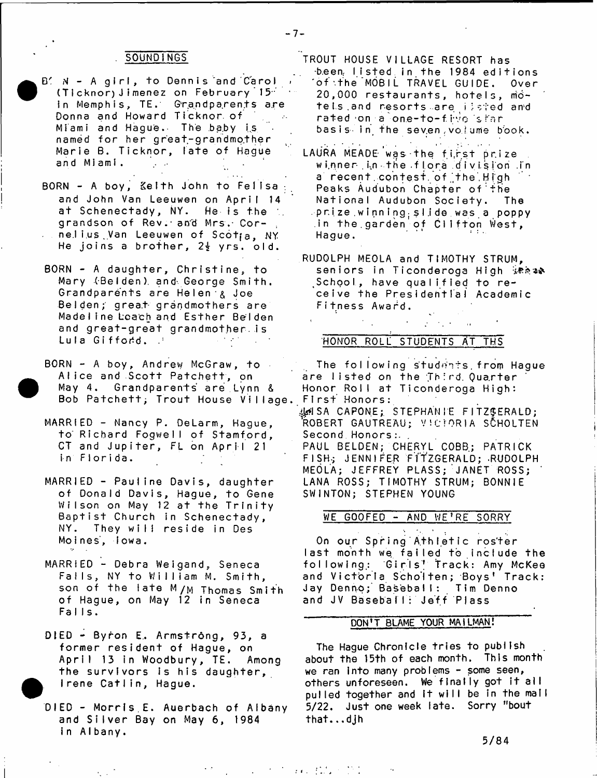### **SOUNDINGS**

- B' N A girl, to Dennis and Carol (Ticknor) Jimenez on February 15" in Memphis, TE. Grandparents are Donna and Howard Ticknor. of Miami and Hague. The baby is named for her great-grandmother Marie B. Ticknor, late of Hague an d MI am I .  $\mathcal{A}^{\mathcal{A}}$  and
- BORN A boy, Kelth John to Felisa and John Van Leeuwen on April 14 at Schenectady, NY. He-is the th grandson of Rev. and Mrs. Corne.lius Van Leeuwen of Scot<sub>ia</sub>, NY He joins a brother,  $2\frac{1}{2}$  yrs. old.
- BORN A daughter, Christine, to Mary (Belden) and George Smith. Grandparents are Helen & Joe Belden; great- grandmothers are Madeline Loach and Esther Belden and great-great grandmother is Lula Giffodd.
- $BORN A boy, Andrew McGraw, to$ Alice and Scott Patchett, on May 4. Grandparents are Lynn & Bob Patchett; Trout House Village.
- MARRIED Nancy P. DeLarm, Hague, to' Richard Fogwell of Stamford, CT and Jupiter, FL on April 21 in Florida.
- MARRIED Pauline Davis, daughter of Donald Davis, Hague, to Gene Wilson on May 12 at the Trinity Baptist Church in Schenectady, NY. They will reside in Des Moines, lowa.
- MARRIED Debra Weigand, Seneca Falls, NY to William M. Smith, son of the late M/M Thomas Smith of Hague, on May 12 in Seneca Falls.
- DIED Byron E. Armstrông, 93, a former resident of Hague, on April 13 in Woodbury, TE. Among the survivors is his daughter, I rene Catlin, Hague.
- DIED Morris E. Auerbach of Albany and Silver Bay on May 6, 1984 in Albany.

TROUT HOUSE VILLAGE RESORT has been listed in the 1984 editions of the MOBIL TRAVEL GUIDE. Over 20,000 restaurants, hotels, motels and resorts are ilsted and rated on a one-to-five sran basis- in the seven .volume book.

- LAURA MEADE was the first prize winner in the flora division in a recent contest of the High Peaks Audubon Chapter of the National Audubon Society. The  $\mathsf{p}\cap\mathsf{ize}$  winning slide was a poppy in the.garden of Clifton West, Haque.
- RUDOLPH MEOLA and TIMOTHY STRUM, seniors in Ticonderoga High .School., have qualified to receive the Presidential Academic Fitness Award.

 $\mathcal{L}^{\text{max}}(\mathcal{F})$  , where  $\mathcal{L}^{\text{max}}(\mathcal{F})$ 

### HONOR ROLL STUDENTS AT THS

The following students. from Hague are listed on the Third. Quarter Honor Roll at Ticonderoga High: First Honors

4^1 SA CAPONE;. STEPHANIE FITZGERALD; 'ROBERT GAUTREAU; VICTORIA SCHOLTEN Second Honors :. PAUL BELDEN; CHERYL COBB; PATRICK

FISH-; JENNIFER FITZGERALD; .RUDOLPH MEOLA; JEFFREY PLASS; JANET ROSS; LANA ROSS; TIMOTHY STRUM; BONNIE SWINTON; STEPHEN YOUNG

#### WE GOOFED - AND WE'RE SORRY

On our Spring Athletic roster last month we failed to include the following: Girls! Track: Amy McKee and Victoria Scholten; Boys' Track: Jay Denno; Baseball: Tim Denno and JV Baseball: Jeff Plass

# DON'T BLAME YOUR MAILMAN!

The Hague Chronicle tries to publish about the 15th of each month. This month we ran into many problems - some seen, others unforeseen. We finally got it all pulled together and it will be in the mail 5/22. Just one week late. Sorry "bout  $that...$ djh

5/84